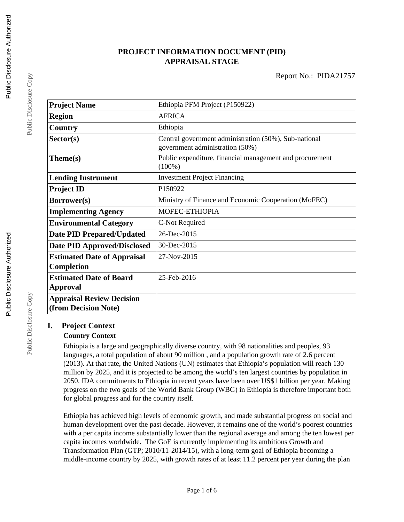### **PROJECT INFORMATION DOCUMENT (PID) APPRAISAL STAGE**

Report No.: PIDA21757

| <b>Project Name</b>                                      | Ethiopia PFM Project (P150922)                                                           |
|----------------------------------------------------------|------------------------------------------------------------------------------------------|
| <b>Region</b>                                            | <b>AFRICA</b>                                                                            |
| Country                                                  | Ethiopia                                                                                 |
| Sector(s)                                                | Central government administration (50%), Sub-national<br>government administration (50%) |
| Theme(s)                                                 | Public expenditure, financial management and procurement<br>$(100\%)$                    |
| <b>Lending Instrument</b>                                | <b>Investment Project Financing</b>                                                      |
| <b>Project ID</b>                                        | P150922                                                                                  |
| Borrower(s)                                              | Ministry of Finance and Economic Cooperation (MoFEC)                                     |
| <b>Implementing Agency</b>                               | MOFEC-ETHIOPIA                                                                           |
| <b>Environmental Category</b>                            | C-Not Required                                                                           |
| <b>Date PID Prepared/Updated</b>                         | 26-Dec-2015                                                                              |
| <b>Date PID Approved/Disclosed</b>                       | 30-Dec-2015                                                                              |
| <b>Estimated Date of Appraisal</b><br>Completion         | $27-Nov-2015$                                                                            |
| <b>Estimated Date of Board</b><br>Approval               | 25-Feb-2016                                                                              |
| <b>Appraisal Review Decision</b><br>(from Decision Note) |                                                                                          |

#### **I. Project Context**

#### **Country Context**

Ethiopia is a large and geographically diverse country, with 98 nationalities and peoples, 93 languages, a total population of about 90 million , and a population growth rate of 2.6 percent (2013). At that rate, the United Nations (UN) estimates that Ethiopia's population will reach 130 million by 2025, and it is projected to be among the world's ten largest countries by population in 2050. IDA commitments to Ethiopia in recent years have been over US\$1 billion per year. Making progress on the two goals of the World Bank Group (WBG) in Ethiopia is therefore important both for global progress and for the country itself.

Ethiopia has achieved high levels of economic growth, and made substantial progress on social and human development over the past decade. However, it remains one of the world's poorest countries with a per capita income substantially lower than the regional average and among the ten lowest per capita incomes worldwide. The GoE is currently implementing its ambitious Growth and Transformation Plan (GTP; 2010/11-2014/15), with a long-term goal of Ethiopia becoming a middle-income country by 2025, with growth rates of at least 11.2 percent per year during the plan

Public Disclosure Copy

Public Disclosure Copy

Public Disclosure Copy

Public Disclosure Copy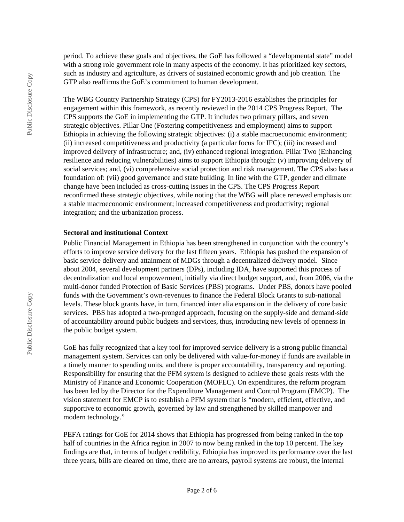period. To achieve these goals and objectives, the GoE has followed a "developmental state" model with a strong role government role in many aspects of the economy. It has prioritized key sectors, such as industry and agriculture, as drivers of sustained economic growth and job creation. The GTP also reaffirms the GoE's commitment to human development.

The WBG Country Partnership Strategy (CPS) for FY2013-2016 establishes the principles for engagement within this framework, as recently reviewed in the 2014 CPS Progress Report. The CPS supports the GoE in implementing the GTP. It includes two primary pillars, and seven strategic objectives. Pillar One (Fostering competitiveness and employment) aims to support Ethiopia in achieving the following strategic objectives: (i) a stable macroeconomic environment; (ii) increased competitiveness and productivity (a particular focus for IFC); (iii) increased and improved delivery of infrastructure; and, (iv) enhanced regional integration. Pillar Two (Enhancing resilience and reducing vulnerabilities) aims to support Ethiopia through: (v) improving delivery of social services; and, (vi) comprehensive social protection and risk management. The CPS also has a foundation of: (vii) good governance and state building. In line with the GTP, gender and climate change have been included as cross-cutting issues in the CPS. The CPS Progress Report reconfirmed these strategic objectives, while noting that the WBG will place renewed emphasis on: a stable macroeconomic environment; increased competitiveness and productivity; regional integration; and the urbanization process.

#### **Sectoral and institutional Context**

Public Financial Management in Ethiopia has been strengthened in conjunction with the country's efforts to improve service delivery for the last fifteen years. Ethiopia has pushed the expansion of basic service delivery and attainment of MDGs through a decentralized delivery model. Since about 2004, several development partners (DPs), including IDA, have supported this process of decentralization and local empowerment, initially via direct budget support, and, from 2006, via the multi-donor funded Protection of Basic Services (PBS) programs. Under PBS, donors have pooled funds with the Government's own-revenues to finance the Federal Block Grants to sub-national levels. These block grants have, in turn, financed inter alia expansion in the delivery of core basic services. PBS has adopted a two-pronged approach, focusing on the supply-side and demand-side of accountability around public budgets and services, thus, introducing new levels of openness in the public budget system.

GoE has fully recognized that a key tool for improved service delivery is a strong public financial management system. Services can only be delivered with value-for-money if funds are available in a timely manner to spending units, and there is proper accountability, transparency and reporting. Responsibility for ensuring that the PFM system is designed to achieve these goals rests with the Ministry of Finance and Economic Cooperation (MOFEC). On expenditures, the reform program has been led by the Director for the Expenditure Management and Control Program (EMCP). The vision statement for EMCP is to establish a PFM system that is "modern, efficient, effective, and supportive to economic growth, governed by law and strengthened by skilled manpower and modern technology."

PEFA ratings for GoE for 2014 shows that Ethiopia has progressed from being ranked in the top half of countries in the Africa region in 2007 to now being ranked in the top 10 percent. The key findings are that, in terms of budget credibility, Ethiopia has improved its performance over the last three years, bills are cleared on time, there are no arrears, payroll systems are robust, the internal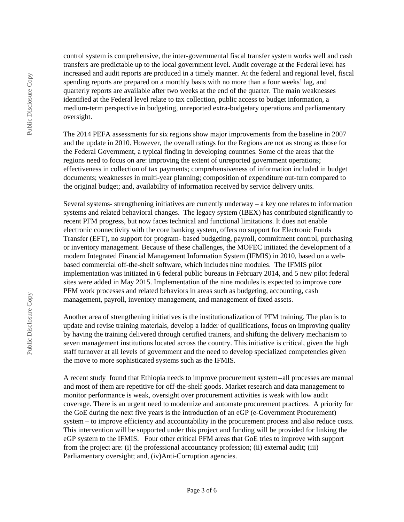control system is comprehensive, the inter-governmental fiscal transfer system works well and cash transfers are predictable up to the local government level. Audit coverage at the Federal level has increased and audit reports are produced in a timely manner. At the federal and regional level, fiscal spending reports are prepared on a monthly basis with no more than a four weeks' lag, and quarterly reports are available after two weeks at the end of the quarter. The main weaknesses identified at the Federal level relate to tax collection, public access to budget information, a medium-term perspective in budgeting, unreported extra-budgetary operations and parliamentary oversight.

The 2014 PEFA assessments for six regions show major improvements from the baseline in 2007 and the update in 2010. However, the overall ratings for the Regions are not as strong as those for the Federal Government, a typical finding in developing countries. Some of the areas that the regions need to focus on are: improving the extent of unreported government operations; effectiveness in collection of tax payments; comprehensiveness of information included in budget documents; weaknesses in multi-year planning; composition of expenditure out-turn compared to the original budget; and, availability of information received by service delivery units.

Several systems- strengthening initiatives are currently underway – a key one relates to information systems and related behavioral changes. The legacy system (IBEX) has contributed significantly to recent PFM progress, but now faces technical and functional limitations. It does not enable electronic connectivity with the core banking system, offers no support for Electronic Funds Transfer (EFT), no support for program- based budgeting, payroll, commitment control, purchasing or inventory management. Because of these challenges, the MOFEC initiated the development of a modern Integrated Financial Management Information System (IFMIS) in 2010, based on a webbased commercial off-the-shelf software, which includes nine modules. The IFMIS pilot implementation was initiated in 6 federal public bureaus in February 2014, and 5 new pilot federal sites were added in May 2015. Implementation of the nine modules is expected to improve core PFM work processes and related behaviors in areas such as budgeting, accounting, cash management, payroll, inventory management, and management of fixed assets.

Another area of strengthening initiatives is the institutionalization of PFM training. The plan is to update and revise training materials, develop a ladder of qualifications, focus on improving quality by having the training delivered through certified trainers, and shifting the delivery mechanism to seven management institutions located across the country. This initiative is critical, given the high staff turnover at all levels of government and the need to develop specialized competencies given the move to more sophisticated systems such as the IFMIS.

A recent study found that Ethiopia needs to improve procurement system--all processes are manual and most of them are repetitive for off-the-shelf goods. Market research and data management to monitor performance is weak, oversight over procurement activities is weak with low audit coverage. There is an urgent need to modernize and automate procurement practices. A priority for the GoE during the next five years is the introduction of an eGP (e-Government Procurement) system – to improve efficiency and accountability in the procurement process and also reduce costs. This intervention will be supported under this project and funding will be provided for linking the eGP system to the IFMIS. Four other critical PFM areas that GoE tries to improve with support from the project are: (i) the professional accountancy profession; (ii) external audit; (iii) Parliamentary oversight; and, (iv)Anti-Corruption agencies.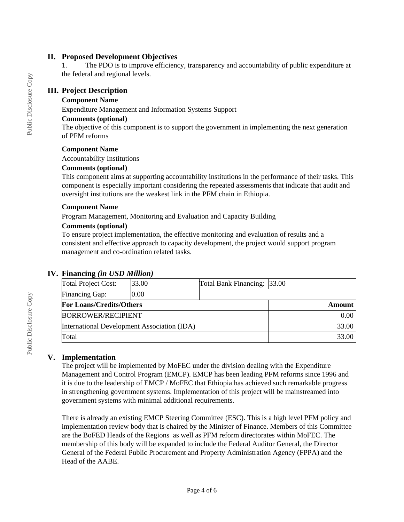#### **II. Proposed Development Objectives**

1. The PDO is to improve efficiency, transparency and accountability of public expenditure at the federal and regional levels.

#### **III. Project Description**

#### **Component Name**

Expenditure Management and Information Systems Support

#### **Comments (optional)**

The objective of this component is to support the government in implementing the next generation of PFM reforms

#### **Component Name**

Accountability Institutions

#### **Comments (optional)**

This component aims at supporting accountability institutions in the performance of their tasks. This component is especially important considering the repeated assessments that indicate that audit and oversight institutions are the weakest link in the PFM chain in Ethiopia.

#### **Component Name**

Program Management, Monitoring and Evaluation and Capacity Building

#### **Comments (optional)**

To ensure project implementation, the effective monitoring and evaluation of results and a consistent and effective approach to capacity development, the project would support program management and co-ordination related tasks.

#### **IV. Financing** *(in USD Million)*

| Total Project Cost:                         | 33.00 | Total Bank Financing: 33.00 |       |
|---------------------------------------------|-------|-----------------------------|-------|
| Financing Gap:                              | 0.00  |                             |       |
| <b>For Loans/Credits/Others</b>             |       | Amount                      |       |
| <b>BORROWER/RECIPIENT</b>                   |       |                             | 0.00  |
| International Development Association (IDA) |       |                             | 33.00 |
| Total                                       |       |                             | 33.00 |

#### **V. Implementation**

The project will be implemented by MoFEC under the division dealing with the Expenditure Management and Control Program (EMCP). EMCP has been leading PFM reforms since 1996 and it is due to the leadership of EMCP / MoFEC that Ethiopia has achieved such remarkable progress in strengthening government systems. Implementation of this project will be mainstreamed into government systems with minimal additional requirements.

There is already an existing EMCP Steering Committee (ESC). This is a high level PFM policy and implementation review body that is chaired by the Minister of Finance. Members of this Committee are the BoFED Heads of the Regions as well as PFM reform directorates within MoFEC. The membership of this body will be expanded to include the Federal Auditor General, the Director General of the Federal Public Procurement and Property Administration Agency (FPPA) and the Head of the AABE.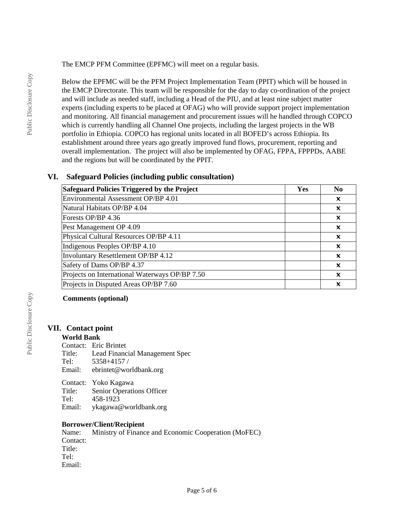The EMCP PFM Committee (EPFMC) will meet on a regular basis.

Below the EPFMC will be the PFM Project Implementation Team (PPIT) which will be housed in the EMCP Directorate. This team will be responsible for the day to day co-ordination of the project and will include as needed staff, including a Head of the PIU, and at least nine subject matter experts (including experts to be placed at OFAG) who will provide support project implementation and monitoring. All financial management and procurement issues will he handled through COPCO which is currently handling all Channel One projects, including the largest projects in the WB portfolio in Ethiopia. COPCO has regional units located in all BOFED's across Ethiopia. Its establishment around three years ago greatly improved fund flows, procurement, reporting and overall implementation. The project will also be implemented by OFAG, FPPA, FPPPDs, AABE and the regions but will be coordinated by the PPIT.

#### **VI. Safeguard Policies (including public consultation)**

| Safeguard Policies Triggered by the Project    | Yes | N <sub>0</sub>            |
|------------------------------------------------|-----|---------------------------|
| Environmental Assessment OP/BP 4.01            |     | x                         |
| Natural Habitats OP/BP 4.04                    |     | $\boldsymbol{\mathsf{x}}$ |
| Forests OP/BP 4.36                             |     | $\boldsymbol{\mathsf{x}}$ |
| Pest Management OP 4.09                        |     | $\boldsymbol{\mathsf{x}}$ |
| Physical Cultural Resources OP/BP 4.11         |     | $\boldsymbol{\mathsf{x}}$ |
| Indigenous Peoples OP/BP 4.10                  |     | x                         |
| Involuntary Resettlement OP/BP 4.12            |     | $\boldsymbol{\mathsf{x}}$ |
| Safety of Dams OP/BP 4.37                      |     | $\boldsymbol{\mathsf{x}}$ |
| Projects on International Waterways OP/BP 7.50 |     | $\boldsymbol{\mathsf{x}}$ |
| Projects in Disputed Areas OP/BP 7.60          |     | x                         |

**Comments (optional)**

#### **VII. Contact point**

#### **World Bank**

Contact: Eric Brintet Title: Lead Financial Management Spec Tel:  $5358+4157/$ <br>Email: ebrintet@wo ebrintet@worldbank.org

Contact: Yoko Kagawa Title: Senior Operations Officer<br>Tel:  $458-1923$ Tel: 458-1923<br>Email: vkagawa ykagawa@worldbank.org

# **Borrower/Client/Recipient**<br>Name: Ministry of Financ

Ministry of Finance and Economic Cooperation (MoFEC) Contact: Title: Tel: Email: